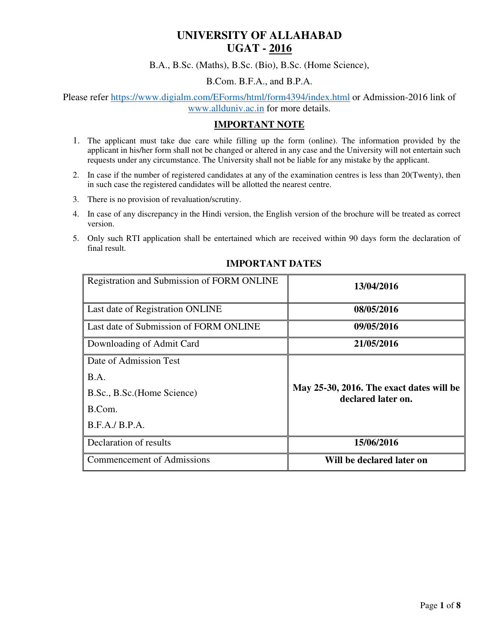# **UNIVERSITY OF ALLAHABAD UGAT - 2016**

B.A., B.Sc. (Maths), B.Sc. (Bio), B.Sc. (Home Science),

#### B.Com. B.F.A., and B.P.A.

Please refer https://www.digialm.com/EForms/html/form4394/index.html or Admission-2016 link of www.allduniv.ac.in for more details.

## **IMPORTANT NOTE**

- 1. The applicant must take due care while filling up the form (online). The information provided by the applicant in his/her form shall not be changed or altered in any case and the University will not entertain such requests under any circumstance. The University shall not be liable for any mistake by the applicant.
- 2. In case if the number of registered candidates at any of the examination centres is less than 20(Twenty), then in such case the registered candidates will be allotted the nearest centre.
- 3. There is no provision of revaluation/scrutiny.
- 4. In case of any discrepancy in the Hindi version, the English version of the brochure will be treated as correct version.
- 5. Only such RTI application shall be entertained which are received within 90 days form the declaration of final result.

| Registration and Submission of FORM ONLINE | 13/04/2016                                                     |  |
|--------------------------------------------|----------------------------------------------------------------|--|
| Last date of Registration ONLINE           | 08/05/2016                                                     |  |
| Last date of Submission of FORM ONLINE     | 09/05/2016                                                     |  |
| Downloading of Admit Card                  | 21/05/2016                                                     |  |
| Date of Admission Test                     |                                                                |  |
| B.A.                                       | May 25-30, 2016. The exact dates will be<br>declared later on. |  |
| B.Sc., B.Sc. (Home Science)                |                                                                |  |
| B.Com.                                     |                                                                |  |
| B.F.A./ B.P.A.                             |                                                                |  |
| Declaration of results                     | 15/06/2016                                                     |  |
| <b>Commencement of Admissions</b>          | Will be declared later on                                      |  |

## **IMPORTANT DATES**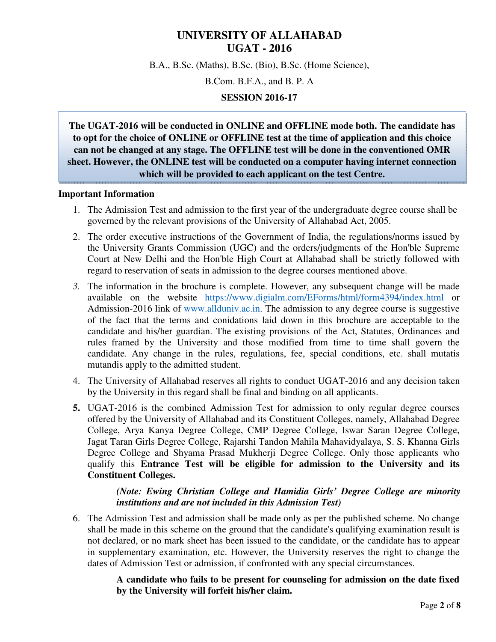## **UNIVERSITY OF ALLAHABAD UGAT - 2016**

B.A., B.Sc. (Maths), B.Sc. (Bio), B.Sc. (Home Science),

B.Com. B.F.A., and B. P. A

#### **SESSION 2016-17**

**The UGAT-2016 will be conducted in ONLINE and OFFLINE mode both. The candidate has to opt for the choice of ONLINE or OFFLINE test at the time of application and this choice can not be changed at any stage. The OFFLINE test will be done in the conventioned OMR sheet. However, the ONLINE test will be conducted on a computer having internet connection which will be provided to each applicant on the test Centre.**

#### **Important Information**

- 1. The Admission Test and admission to the first year of the undergraduate degree course shall be governed by the relevant provisions of the University of Allahabad Act, 2005.
- 2. The order executive instructions of the Government of India, the regulations/norms issued by the University Grants Commission (UGC) and the orders/judgments of the Hon'ble Supreme Court at New Delhi and the Hon'ble High Court at Allahabad shall be strictly followed with regard to reservation of seats in admission to the degree courses mentioned above.
- *3.* The information in the brochure is complete. However, any subsequent change will be made available on the website https://www.digialm.com/EForms/html/form4394/index.html or Admission-2016 link of www.allduniv.ac.in. The admission to any degree course is suggestive of the fact that the terms and conidations laid down in this brochure are acceptable to the candidate and his/her guardian. The existing provisions of the Act, Statutes, Ordinances and rules framed by the University and those modified from time to time shall govern the candidate. Any change in the rules, regulations, fee, special conditions, etc. shall mutatis mutandis apply to the admitted student.
- 4. The University of Allahabad reserves all rights to conduct UGAT-2016 and any decision taken by the University in this regard shall be final and binding on all applicants.
- **5.** UGAT-2016 is the combined Admission Test for admission to only regular degree courses offered by the University of Allahabad and its Constituent Colleges, namely, Allahabad Degree College, Arya Kanya Degree College, CMP Degree College, Iswar Saran Degree College, Jagat Taran Girls Degree College, Rajarshi Tandon Mahila Mahavidyalaya, S. S. Khanna Girls Degree College and Shyama Prasad Mukherji Degree College. Only those applicants who qualify this **Entrance Test will be eligible for admission to the University and its Constituent Colleges.**

## *(Note: Ewing Christian College and Hamidia Girls' Degree College are minority institutions and are not included in this Admission Test)*

6. The Admission Test and admission shall be made only as per the published scheme. No change shall be made in this scheme on the ground that the candidate's qualifying examination result is not declared, or no mark sheet has been issued to the candidate, or the candidate has to appear in supplementary examination, etc. However, the University reserves the right to change the dates of Admission Test or admission, if confronted with any special circumstances.

> **A candidate who fails to be present for counseling for admission on the date fixed by the University will forfeit his/her claim.**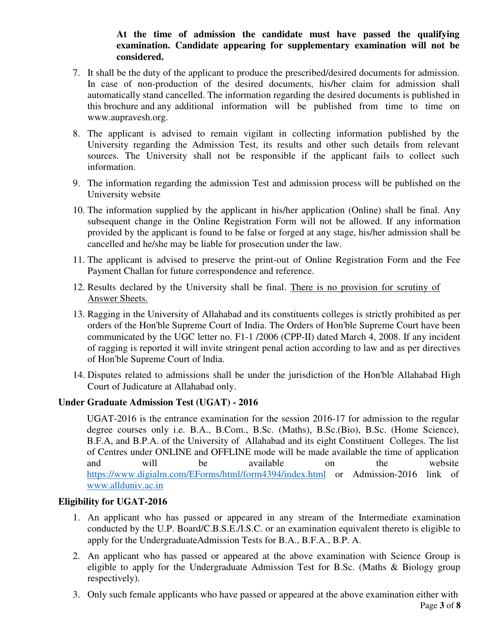## **At the time of admission the candidate must have passed the qualifying examination. Candidate appearing for supplementary examination will not be considered.**

- 7. It shall be the duty of the applicant to produce the prescribed/desired documents for admission. In case of non-production of the desired documents, his/her claim for admission shall automatically stand cancelled. The information regarding the desired documents is published in this brochure and any additional information will be published from time to time on www.aupravesh.org.
- 8. The applicant is advised to remain vigilant in collecting information published by the University regarding the Admission Test, its results and other such details from relevant sources. The University shall not be responsible if the applicant fails to collect such information.
- 9. The information regarding the admission Test and admission process will be published on the University website
- 10. The information supplied by the applicant in his/her application (Online) shall be final. Any subsequent change in the Online Registration Form will not be allowed. If any information provided by the applicant is found to be false or forged at any stage, his/her admission shall be cancelled and he/she may be liable for prosecution under the law.
- 11. The applicant is advised to preserve the print-out of Online Registration Form and the Fee Payment Challan for future correspondence and reference.
- 12. Results declared by the University shall be final. There is no provision for scrutiny of Answer Sheets.
- 13. Ragging in the University of Allahabad and its constituents colleges is strictly prohibited as per orders of the Hon'ble Supreme Court of India. The Orders of Hon'ble Supreme Court have been communicated by the UGC letter no. F1-1 /2006 (CPP-II) dated March 4, 2008. If any incident of ragging is reported it will invite stringent penal action according to law and as per directives of Hon'ble Supreme Court of lndia.
- 14. Disputes related to admissions shall be under the jurisdiction of the Hon'ble Allahabad High Court of Judicature at Allahabad only.

## **Under Graduate Admission Test (UGAT) - 2016**

UGAT-2016 is the entrance examination for the session 2016-17 for admission to the regular degree courses only i.e. B.A., B.Com., B.Sc. (Maths), B.Sc.(Bio), B.Sc. (Home Science), B.F.A, and B.P.A. of the University of Allahabad and its eight Constituent Colleges. The list of Centres under ONLINE and OFFLINE mode will be made available the time of application and will be available on the website https://www.digialm.com/EForms/html/form4394/index.html or Admission-2016 link of www.allduniv.ac.in

## **Eligibility for UGAT-2016**

- 1. An applicant who has passed or appeared in any stream of the Intermediate examination conducted by the U.P. Board/C.B.S.E./I.S.C. or an examination equivalent thereto is eligible to apply for the UndergraduateAdmission Tests for B.A., B.F.A., B.P. A.
- 2. An applicant who has passed or appeared at the above examination with Science Group is eligible to apply for the Undergraduate Admission Test for B.Sc. (Maths & Biology group respectively).
- 3. Only such female applicants who have passed or appeared at the above examination either with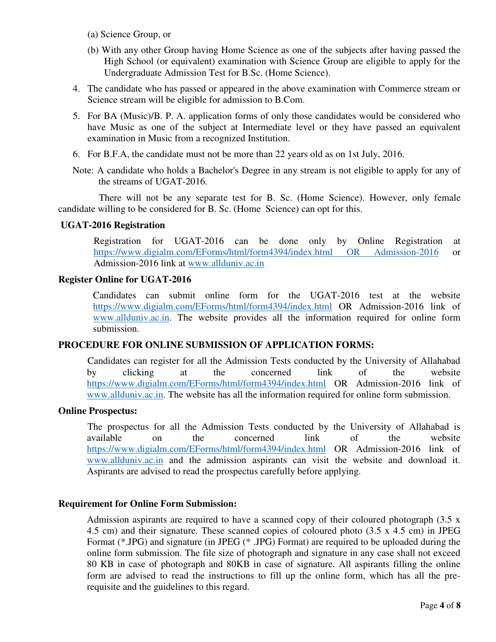(a) Science Group, or

- (b) With any other Group having Home Science as one of the subjects after having passed the High School (or equivalent) examination with Science Group are eligible to apply for the Undergraduate Admission Test for B.Sc. (Home Science).
- 4. The candidate who has passed or appeared in the above examination with Commerce stream or Science stream will be eligible for admission to B.Com.
- 5. For BA (Music)/B. P. A. application forms of only those candidates would be considered who have Music as one of the subject at Intermediate level or they have passed an equivalent examination in Music from a recognized Institution.
- 6. For B.F.A, the candidate must not be more than 22 years old as on 1st July, 2016.
- Note: A candidate who holds a Bachelor's Degree in any stream is not eligible to apply for any of the streams of UGAT-2016.

 There will not be any separate test for B. Sc. (Home Science). However, only female candidate willing to be considered for B. Sc. (Home Science) can opt for this.

## **UGAT-2016 Registration**

Registration for UGAT-2016 can be done only by Online Registration at https://www.digialm.com/EForms/html/form4394/index.html OR Admission-2016 or Admission-2016 link at www.allduniv.ac.in

## **Register Online for UGAT-2016**

Candidates can submit online form for the UGAT-2016 test at the website https://www.digialm.com/EForms/html/form4394/index.html OR Admission-2016 link of www.allduniv.ac.in. The website provides all the information required for online form submission.

## **PROCEDURE FOR ONLINE SUBMISSION OF APPLICATION FORMS:**

Candidates can register for all the Admission Tests conducted by the University of Allahabad by clicking at the concerned link of the website https://www.digialm.com/EForms/html/form4394/index.html OR Admission-2016 link of www.allduniv.ac.in. The website has all the information required for online form submission.

## **Online Prospectus:**

The prospectus for all the Admission Tests conducted by the University of Allahabad is available on the concerned link of the website https://www.digialm.com/EForms/html/form4394/index.html OR Admission-2016 link of www.allduniv.ac.in and the admission aspirants can visit the website and download it. Aspirants are advised to read the prospectus carefully before applying.

## **Requirement for Online Form Submission:**

Admission aspirants are required to have a scanned copy of their coloured photograph (3.5 x 4.5 cm) and their signature. These scanned copies of coloured photo (3.5 x 4.5 cm) in JPEG Format (\*.JPG) and signature (in JPEG (\* .JPG) Format) are required to be uploaded during the online form submission. The file size of photograph and signature in any case shall not exceed 80 KB in case of photograph and 80KB in case of signature. All aspirants filling the online form are advised to read the instructions to fill up the online form, which has all the prerequisite and the guidelines to this regard.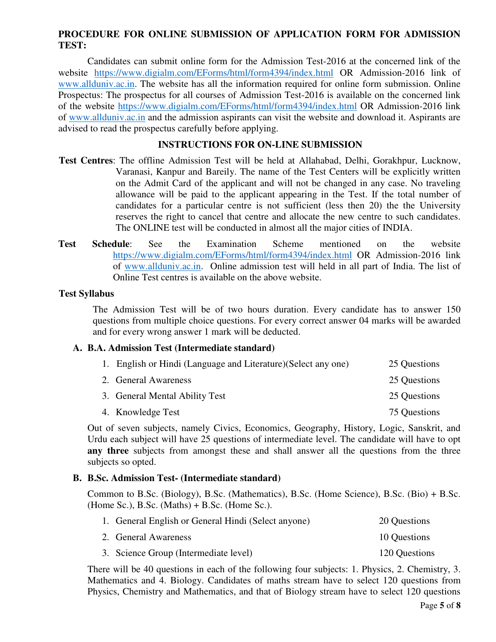## **PROCEDURE FOR ONLINE SUBMISSION OF APPLICATION FORM FOR ADMISSION TEST:**

Candidates can submit online form for the Admission Test-2016 at the concerned link of the website https://www.digialm.com/EForms/html/form4394/index.html OR Admission-2016 link of www.allduniv.ac.in. The website has all the information required for online form submission. Online Prospectus: The prospectus for all courses of Admission Test-2016 is available on the concerned link of the website https://www.digialm.com/EForms/html/form4394/index.html OR Admission-2016 link of www.allduniv.ac.in and the admission aspirants can visit the website and download it. Aspirants are advised to read the prospectus carefully before applying.

## **INSTRUCTIONS FOR ON-LINE SUBMISSION**

- **Test Centres**: The offline Admission Test will be held at Allahabad, Delhi, Gorakhpur, Lucknow, Varanasi, Kanpur and Bareily. The name of the Test Centers will be explicitly written on the Admit Card of the applicant and will not be changed in any case. No traveling allowance will be paid to the applicant appearing in the Test. If the total number of candidates for a particular centre is not sufficient (less then 20) the the University reserves the right to cancel that centre and allocate the new centre to such candidates. The ONLINE test will be conducted in almost all the major cities of INDIA.
- **Test Schedule**: See the Examination Scheme mentioned on the website https://www.digialm.com/EForms/html/form4394/index.html OR Admission-2016 link of www.allduniv.ac.in. Online admission test will held in all part of India. The list of Online Test centres is available on the above website.

#### **Test Syllabus**

The Admission Test will be of two hours duration. Every candidate has to answer 150 questions from multiple choice questions. For every correct answer 04 marks will be awarded and for every wrong answer 1 mark will be deducted.

## **A. B.A. Admission Test (Intermediate standard)**

| 1. English or Hindi (Language and Literature) (Select any one) | 25 Questions |
|----------------------------------------------------------------|--------------|
| 2. General Awareness                                           | 25 Questions |
| 3. General Mental Ability Test                                 | 25 Questions |
| 4. Knowledge Test                                              | 75 Questions |

Out of seven subjects, namely Civics, Economics, Geography, History, Logic, Sanskrit, and Urdu each subject will have 25 questions of intermediate level. The candidate will have to opt **any three** subjects from amongst these and shall answer all the questions from the three subjects so opted.

## **B. B.Sc. Admission Test- (Intermediate standard)**

Common to B.Sc. (Biology), B.Sc. (Mathematics), B.Sc. (Home Science), B.Sc. (Bio) + B.Sc.  $(Home Sc.)$ , B.Sc.  $(Maths) + B.Sc.$  (Home Sc.).

| 1. General English or General Hindi (Select anyone) | 20 Questions  |
|-----------------------------------------------------|---------------|
| 2. General Awareness                                | 10 Questions  |
| 3. Science Group (Intermediate level)               | 120 Questions |

There will be 40 questions in each of the following four subjects: 1. Physics, 2. Chemistry, 3. Mathematics and 4. Biology. Candidates of maths stream have to select 120 questions from Physics, Chemistry and Mathematics, and that of Biology stream have to select 120 questions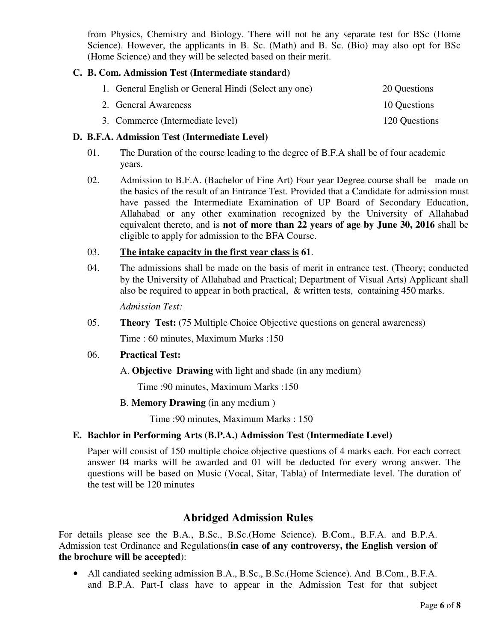from Physics, Chemistry and Biology. There will not be any separate test for BSc (Home Science). However, the applicants in B. Sc. (Math) and B. Sc. (Bio) may also opt for BSc (Home Science) and they will be selected based on their merit.

## **C. B. Com. Admission Test (Intermediate standard)**

| 1. General English or General Hindi (Select any one) | 20 Questions  |
|------------------------------------------------------|---------------|
| 2. General Awareness                                 | 10 Questions  |
| 3. Commerce (Intermediate level)                     | 120 Questions |

## **D. B.F.A. Admission Test (Intermediate Level)**

- 01. The Duration of the course leading to the degree of B.F.A shall be of four academic years.
- 02. Admission to B.F.A. (Bachelor of Fine Art) Four year Degree course shall be made on the basics of the result of an Entrance Test. Provided that a Candidate for admission must have passed the Intermediate Examination of UP Board of Secondary Education, Allahabad or any other examination recognized by the University of Allahabad equivalent thereto, and is **not of more than 22 years of age by June 30, 2016** shall be eligible to apply for admission to the BFA Course.

## 03. **The intake capacity in the first year class is 61**.

04. The admissions shall be made on the basis of merit in entrance test. (Theory; conducted by the University of Allahabad and Practical; Department of Visual Arts) Applicant shall also be required to appear in both practical, & written tests, containing 450 marks.

*Admission Test:*

05. **Theory Test:** (75 Multiple Choice Objective questions on general awareness)

Time : 60 minutes, Maximum Marks :150

## 06. **Practical Test:**

A. **Objective Drawing** with light and shade (in any medium)

Time :90 minutes, Maximum Marks :150

B. **Memory Drawing** (in any medium )

Time :90 minutes, Maximum Marks : 150

## **E. Bachlor in Performing Arts (B.P.A.) Admission Test (Intermediate Level)**

Paper will consist of 150 multiple choice objective questions of 4 marks each. For each correct answer 04 marks will be awarded and 01 will be deducted for every wrong answer. The questions will be based on Music (Vocal, Sitar, Tabla) of Intermediate level. The duration of the test will be 120 minutes

## **Abridged Admission Rules**

For details please see the B.A., B.Sc., B.Sc.(Home Science). B.Com., B.F.A. and B.P.A. Admission test Ordinance and Regulations(**in case of any controversy, the English version of the brochure will be accepted**):

• All candiated seeking admission B.A., B.Sc., B.Sc.(Home Science). And B.Com., B.F.A. and B.P.A. Part-I class have to appear in the Admission Test for that subject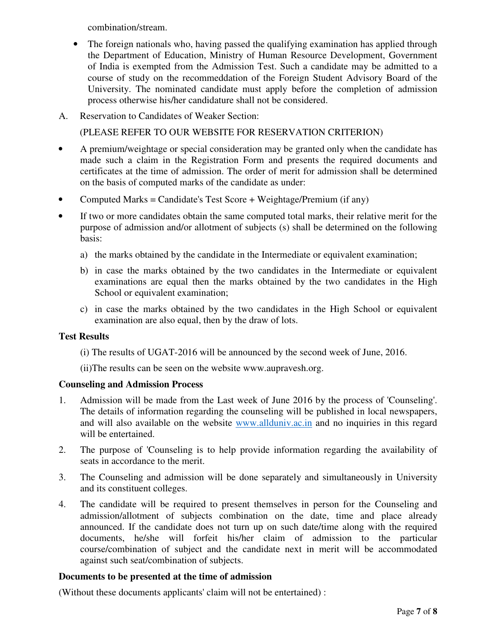combination/stream.

- The foreign nationals who, having passed the qualifying examination has applied through the Department of Education, Ministry of Human Resource Development, Government of India is exempted from the Admission Test. Such a candidate may be admitted to a course of study on the recommeddation of the Foreign Student Advisory Board of the University. The nominated candidate must apply before the completion of admission process otherwise his/her candidature shall not be considered.
- A. Reservation to Candidates of Weaker Section:

(PLEASE REFER TO OUR WEBSITE FOR RESERVATION CRITERION)

- A premium/weightage or special consideration may be granted only when the candidate has made such a claim in the Registration Form and presents the required documents and certificates at the time of admission. The order of merit for admission shall be determined on the basis of computed marks of the candidate as under:
- Computed Marks = Candidate's Test Score + Weightage/Premium (if any)
- If two or more candidates obtain the same computed total marks, their relative merit for the purpose of admission and/or allotment of subjects (s) shall be determined on the following basis:
	- a) the marks obtained by the candidate in the Intermediate or equivalent examination;
	- b) in case the marks obtained by the two candidates in the Intermediate or equivalent examinations are equal then the marks obtained by the two candidates in the High School or equivalent examination;
	- c) in case the marks obtained by the two candidates in the High School or equivalent examination are also equal, then by the draw of lots.

## **Test Results**

- (i) The results of UGAT-2016 will be announced by the second week of June, 2016.
- (ii)The results can be seen on the website www.aupravesh.org.

## **Counseling and Admission Process**

- 1. Admission will be made from the Last week of June 2016 by the process of 'Counseling'. The details of information regarding the counseling will be published in local newspapers, and will also available on the website www.allduniv.ac.in and no inquiries in this regard will be entertained.
- 2. The purpose of 'Counseling is to help provide information regarding the availability of seats in accordance to the merit.
- 3. The Counseling and admission will be done separately and simultaneously in University and its constituent colleges.
- 4. The candidate will be required to present themselves in person for the Counseling and admission/allotment of subjects combination on the date, time and place already announced. If the candidate does not turn up on such date/time along with the required documents, he/she will forfeit his/her claim of admission to the particular course/combination of subject and the candidate next in merit will be accommodated against such seat/combination of subjects.

## **Documents to be presented at the time of admission**

(Without these documents applicants' claim will not be entertained) :